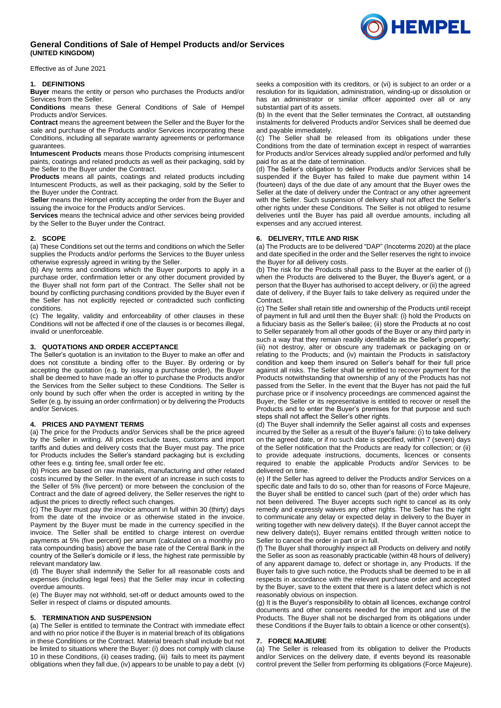# **General Conditions of Sale of Hempel Products and/or Services (UNITED KINGDOM)**

Effective as of June 2021

### **1. DEFINITIONS**

**Buyer** means the entity or person who purchases the Products and/or Services from the Seller.

**Conditions** means these General Conditions of Sale of Hempel Products and/or Services.

**Contract** means the agreement between the Seller and the Buyer for the sale and purchase of the Products and/or Services incorporating these Conditions, including all separate warranty agreements or performance guarantees.

**Intumescent Products** means those Products comprising intumescent paints, coatings and related products as well as their packaging, sold by the Seller to the Buyer under the Contract.

**Products** means all paints, coatings and related products including Intumescent Products, as well as their packaging, sold by the Seller to the Buyer under the Contract.

**Seller** means the Hempel entity accepting the order from the Buyer and issuing the invoice for the Products and/or Services.

**Services** means the technical advice and other services being provided by the Seller to the Buyer under the Contract.

## **2. SCOPE**

(a) These Conditions set out the terms and conditions on which the Seller supplies the Products and/or performs the Services to the Buyer unless otherwise expressly agreed in writing by the Seller.

(b) Any terms and conditions which the Buyer purports to apply in a purchase order, confirmation letter or any other document provided by the Buyer shall not form part of the Contract. The Seller shall not be bound by conflicting purchasing conditions provided by the Buyer even if the Seller has not explicitly rejected or contradicted such conflicting conditions.

(c) The legality, validity and enforceability of other clauses in these Conditions will not be affected if one of the clauses is or becomes illegal, invalid or unenforceable.

# **3. QUOTATIONS AND ORDER ACCEPTANCE**

The Seller's quotation is an invitation to the Buyer to make an offer and does not constitute a binding offer to the Buyer. By ordering or by accepting the quotation (e.g. by issuing a purchase order), the Buyer shall be deemed to have made an offer to purchase the Products and/or the Services from the Seller subject to these Conditions. The Seller is only bound by such offer when the order is accepted in writing by the Seller (e.g. by issuing an order confirmation) or by delivering the Products and/or Services.

## **4. PRICES AND PAYMENT TERMS**

(a) The price for the Products and/or Services shall be the price agreed by the Seller in writing. All prices exclude taxes, customs and import tariffs and duties and delivery costs that the Buyer must pay. The price for Products includes the Seller's standard packaging but is excluding other fees e.g. tinting fee, small order fee etc.

(b) Prices are based on raw materials, manufacturing and other related costs incurred by the Seller. In the event of an increase in such costs to the Seller of 5% (five percent) or more between the conclusion of the Contract and the date of agreed delivery, the Seller reserves the right to adjust the prices to directly reflect such changes.

(c) The Buyer must pay the invoice amount in full within 30 (thirty) days from the date of the invoice or as otherwise stated in the invoice. Payment by the Buyer must be made in the currency specified in the invoice. The Seller shall be entitled to charge interest on overdue payments at 5% (five percent) per annum (calculated on a monthly pro rata compounding basis) above the base rate of the Central Bank in the country of the Seller's domicile or if less, the highest rate permissible by relevant mandatory law.

(d) The Buyer shall indemnify the Seller for all reasonable costs and expenses (including legal fees) that the Seller may incur in collecting overdue amounts.

(e) The Buyer may not withhold, set-off or deduct amounts owed to the Seller in respect of claims or disputed amounts.

### **5. TERMINATION AND SUSPENSION**

(a) The Seller is entitled to terminate the Contract with immediate effect and with no prior notice if the Buyer is in material breach of its obligations in these Conditions or the Contract. Material breach shall include but not be limited to situations where the Buyer: (i) does not comply with clause [10](#page-1-0) in these Conditions, (ii) ceases trading, (iii) fails to meet its payment obligations when they fall due, (iv) appears to be unable to pay a debt (v)

seeks a composition with its creditors, or (vi) is subject to an order or a resolution for its liquidation, administration, winding-up or dissolution or has an administrator or similar officer appointed over all or any substantial part of its assets.

(b) In the event that the Seller terminates the Contract, all outstanding instalments for delivered Products and/or Services shall be deemed due and payable immediately.

(c) The Seller shall be released from its obligations under these Conditions from the date of termination except in respect of warranties for Products and/or Services already supplied and/or performed and fully paid for as at the date of termination.

(d) The Seller's obligation to deliver Products and/or Services shall be suspended if the Buyer has failed to make due payment within 14 (fourteen) days of the due date of any amount that the Buyer owes the Seller at the date of delivery under the Contract or any other agreement with the Seller. Such suspension of delivery shall not affect the Seller's other rights under these Conditions. The Seller is not obliged to resume deliveries until the Buyer has paid all overdue amounts, including all expenses and any accrued interest.

#### **6. DELIVERY, TITLE AND RISK**

(a) The Products are to be delivered "DAP" (Incoterms 2020) at the place and date specified in the order and the Seller reserves the right to invoice the Buyer for all delivery costs.

(b) The risk for the Products shall pass to the Buyer at the earlier of (i) when the Products are delivered to the Buyer, the Buyer's agent, or a person that the Buyer has authorised to accept delivery, or (ii) the agreed date of delivery, if the Buyer fails to take delivery as required under the Contract.

(c) The Seller shall retain title and ownership of the Products until receipt of payment in full and until then the Buyer shall: (i) hold the Products on a fiduciary basis as the Seller's bailee; (ii) store the Products at no cost to Seller separately from all other goods of the Buyer or any third party in such a way that they remain readily identifiable as the Seller's property; (iii) not destroy, alter or obscure any trademark or packaging on or relating to the Products; and (iv) maintain the Products in satisfactory condition and keep them insured on Seller's behalf for their full price against all risks. The Seller shall be entitled to recover payment for the Products notwithstanding that ownership of any of the Products has not passed from the Seller. In the event that the Buyer has not paid the full purchase price or if insolvency proceedings are commenced against the Buyer, the Seller or its representative is entitled to recover or resell the Products and to enter the Buyer's premises for that purpose and such steps shall not affect the Seller's other rights.

(d) The Buyer shall indemnify the Seller against all costs and expenses incurred by the Seller as a result of the Buyer's failure: (i) to take delivery on the agreed date, or if no such date is specified, within 7 (seven) days of the Seller notification that the Products are ready for collection; or (ii) to provide adequate instructions, documents, licences or consents required to enable the applicable Products and/or Services to be delivered on time.

(e) If the Seller has agreed to deliver the Products and/or Services on a specific date and fails to do so, other than for reasons of Force Majeure, the Buyer shall be entitled to cancel such (part of the) order which has not been delivered. The Buyer accepts such right to cancel as its only remedy and expressly waives any other rights. The Seller has the right to communicate any delay or expected delay in delivery to the Buyer in writing together with new delivery date(s). If the Buyer cannot accept the new delivery date(s), Buyer remains entitled through written notice to Seller to cancel the order in part or in full.

(f) The Buyer shall thoroughly inspect all Products on delivery and notify the Seller as soon as reasonably practicable (within 48 hours of delivery) of any apparent damage to, defect or shortage in, any Products. If the Buyer fails to give such notice, the Products shall be deemed to be in all respects in accordance with the relevant purchase order and accepted by the Buyer, save to the extent that there is a latent defect which is not reasonably obvious on inspection.

(g) It is the Buyer's responsibility to obtain all licences, exchange control documents and other consents needed for the import and use of the Products. The Buyer shall not be discharged from its obligations under these Conditions if the Buyer fails to obtain a licence or other consent(s).

#### **7. FORCE MAJEURE**

(a) The Seller is released from its obligation to deliver the Products and/or Services on the delivery date, if events beyond its reasonable control prevent the Seller from performing its obligations (Force Majeure).

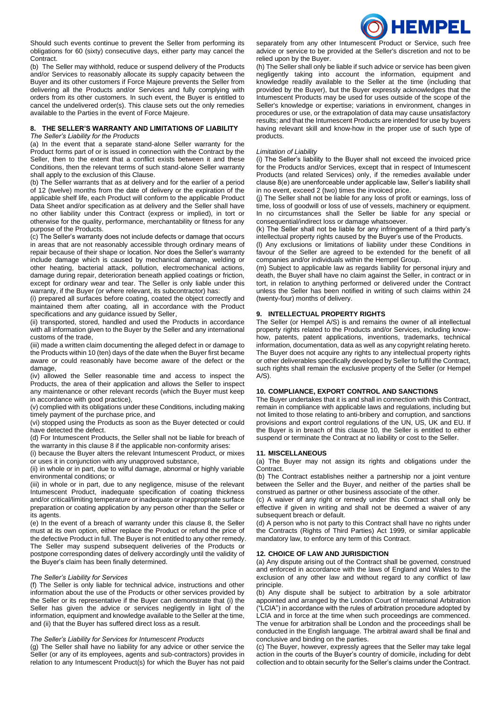

Should such events continue to prevent the Seller from performing its obligations for 60 (sixty) consecutive days, either party may cancel the Contract.

(b) The Seller may withhold, reduce or suspend delivery of the Products and/or Services to reasonably allocate its supply capacity between the Buyer and its other customers if Force Majeure prevents the Seller from delivering all the Products and/or Services and fully complying with orders from its other customers. In such event, the Buyer is entitled to cancel the undelivered order(s). This clause sets out the only remedies available to the Parties in the event of Force Majeure.

# **8. THE SELLER'S WARRANTY AND LIMITATIONS OF LIABILITY**

### *The Seller's Liability for the Products*

(a) In the event that a separate stand-alone Seller warranty for the Product forms part of or is issued in connection with the Contract by the Seller, then to the extent that a conflict exists between it and these Conditions, then the relevant terms of such stand-alone Seller warranty shall apply to the exclusion of this Clause.

(b) The Seller warrants that as at delivery and for the earlier of a period of 12 (twelve) months from the date of delivery or the expiration of the applicable shelf life, each Product will conform to the applicable Product Data Sheet and/or specification as at delivery and the Seller shall have no other liability under this Contract (express or implied), in tort or otherwise for the quality, performance, merchantability or fitness for any purpose of the Products.

(c) The Seller's warranty does not include defects or damage that occurs in areas that are not reasonably accessible through ordinary means of repair because of their shape or location. Nor does the Seller's warranty include damage which is caused by mechanical damage, welding or other heating, bacterial attack, pollution, electromechanical actions, damage during repair, deterioration beneath applied coatings or friction, except for ordinary wear and tear. The Seller is only liable under this warranty, if the Buyer (or where relevant, its subcontractor) has:

(i) prepared all surfaces before coating, coated the object correctly and maintained them after coating, all in accordance with the Product specifications and any guidance issued by Seller,

(ii) transported, stored, handled and used the Products in accordance with all information given to the Buyer by the Seller and any international customs of the trade,

(iii) made a written claim documenting the alleged defect in or damage to the Products within 10 (ten) days of the date when the Buyer first became aware or could reasonably have become aware of the defect or the damage,

(iv) allowed the Seller reasonable time and access to inspect the Products, the area of their application and allows the Seller to inspect any maintenance or other relevant records (which the Buyer must keep in accordance with good practice),

(v) complied with its obligations under these Conditions, including making timely payment of the purchase price, and

(vi) stopped using the Products as soon as the Buyer detected or could have detected the defect.

(d) For Intumescent Products, the Seller shall not be liable for breach of the warranty in this clause 8 if the applicable non-conformity arises:

(i) because the Buyer alters the relevant Intumescent Product, or mixes

or uses it in conjunction with any unapproved substance, (ii) in whole or in part, due to wilful damage, abnormal or highly variable environmental conditions; or

(iii) in whole or in part, due to any negligence, misuse of the relevant Intumescent Product, inadequate specification of coating thickness and/or critical/limiting temperature or inadequate or inappropriate surface preparation or coating application by any person other than the Seller or its agents.

(e) In the event of a breach of warranty under this clause 8, the Seller must at its own option, either replace the Product or refund the price of the defective Product in full. The Buyer is not entitled to any other remedy. The Seller may suspend subsequent deliveries of the Products or postpone corresponding dates of delivery accordingly until the validity of the Buyer's claim has been finally determined.

## *The Seller's Liability for Services*

(f) The Seller is only liable for technical advice, instructions and other information about the use of the Products or other services provided by the Seller or its representative if the Buyer can demonstrate that (i) the Seller has given the advice or services negligently in light of the information, equipment and knowledge available to the Seller at the time, and (ii) that the Buyer has suffered direct loss as a result.

### *The Seller's Liability for Services for Intumescent Products*

(g) The Seller shall have no liability for any advice or other service the Seller (or any of its employees, agents and sub-contractors) provides in relation to any Intumescent Product(s) for which the Buyer has not paid separately from any other Intumescent Product or Service, such free advice or service to be provided at the Seller's discretion and not to be relied upon by the Buyer.

(h) The Seller shall only be liable if such advice or service has been given negligently taking into account the information, equipment and knowledge readily available to the Seller at the time (including that provided by the Buyer), but the Buyer expressly acknowledges that the Intumescent Products may be used for uses outside of the scope of the Seller's knowledge or expertise; variations in environment, changes in procedures or use, or the extrapolation of data may cause unsatisfactory results; and that the Intumescent Products are intended for use by buyers having relevant skill and know-how in the proper use of such type of products.

### *Limitation of Liability*

(i) The Seller's liability to the Buyer shall not exceed the invoiced price for the Products and/or Services, except that in respect of Intumescent Products (and related Services) only, if the remedies available under clause 8(e) are unenforceable under applicable law, Seller's liability shall in no event, exceed 2 (two) times the invoiced price.

(j) The Seller shall not be liable for any loss of profit or earnings, loss of time, loss of goodwill or loss of use of vessels, machinery or equipment. In no circumstances shall the Seller be liable for any special or consequential/indirect loss or damage whatsoever.

(k) The Seller shall not be liable for any infringement of a third party's intellectual property rights caused by the Buyer's use of the Products.

(l) Any exclusions or limitations of liability under these Conditions in favour of the Seller are agreed to be extended for the benefit of all companies and/or individuals within the Hempel Group.

(m) Subject to applicable law as regards liability for personal injury and death, the Buyer shall have no claim against the Seller, in contract or in tort, in relation to anything performed or delivered under the Contract unless the Seller has been notified in writing of such claims within 24 (twenty-four) months of delivery.

## **9. INTELLECTUAL PROPERTY RIGHTS**

The Seller (or Hempel A/S) is and remains the owner of all intellectual property rights related to the Products and/or Services, including knowhow, patents, patent applications, inventions, trademarks, technical information, documentation, data as well as any copyright relating hereto. The Buyer does not acquire any rights to any intellectual property rights or other deliverables specifically developed by Seller to fulfil the Contract, such rights shall remain the exclusive property of the Seller (or Hempel A/S).

## <span id="page-1-0"></span>**10. COMPLIANCE, EXPORT CONTROL AND SANCTIONS**

The Buyer undertakes that it is and shall in connection with this Contract, remain in compliance with applicable laws and regulations, including but not limited to those relating to anti-bribery and corruption, and sanctions provisions and export control regulations of the UN, US, UK and EU. If the Buyer is in breach of this clause 10, the Seller is entitled to either suspend or terminate the Contract at no liability or cost to the Seller.

#### **11. MISCELLANEOUS**

(a) The Buyer may not assign its rights and obligations under the Contract.

(b) The Contract establishes neither a partnership nor a joint venture between the Seller and the Buyer, and neither of the parties shall be construed as partner or other business associate of the other.

(c) A waiver of any right or remedy under this Contract shall only be effective if given in writing and shall not be deemed a waiver of any subsequent breach or default.

(d) A person who is not party to this Contract shall have no rights under the Contracts (Rights of Third Parties) Act 1999, or similar applicable mandatory law, to enforce any term of this Contract.

## **12. CHOICE OF LAW AND JURISDICTION**

(a) Any dispute arising out of the Contract shall be governed, construed and enforced in accordance with the laws of England and Wales to the exclusion of any other law and without regard to any conflict of law principle.

(b) Any dispute shall be subject to arbitration by a sole arbitrator appointed and arranged by the London Court of International Arbitration ("LCIA") in accordance with the rules of arbitration procedure adopted by LCIA and in force at the time when such proceedings are commenced. The venue for arbitration shall be London and the proceedings shall be conducted in the English language. The arbitral award shall be final and conclusive and binding on the parties.

(c) The Buyer, however, expressly agrees that the Seller may take legal action in the courts of the Buyer's country of domicile, including for debt collection and to obtain security for the Seller's claims under the Contract.